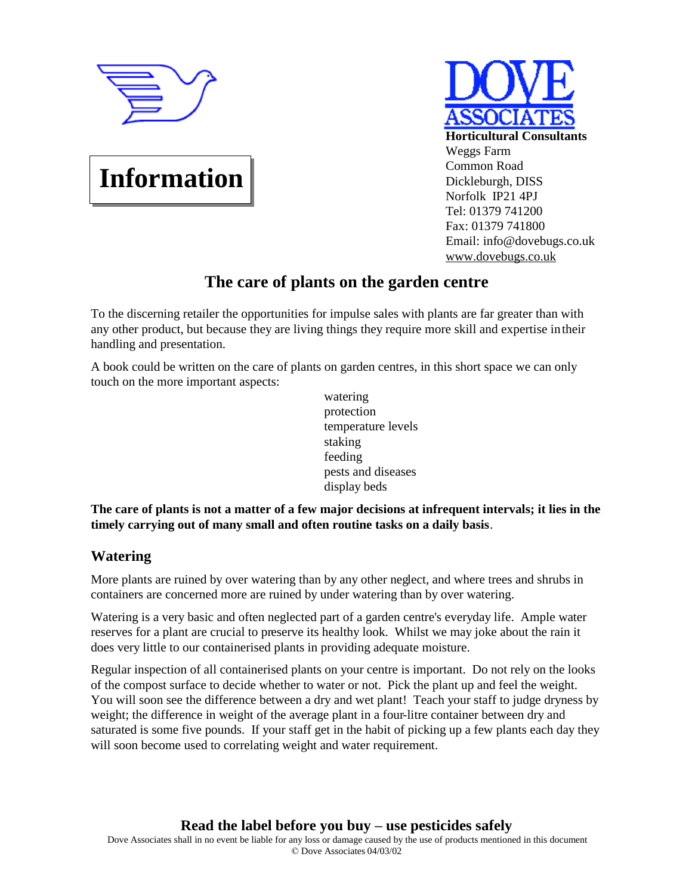

**Information**

# **Horticultural Consultants** Weggs Farm Common Road Dickleburgh, DISS Norfolk IP21 4PJ Tel: 01379 741200 Fax: 01379 741800 Email: info@dovebugs.co.uk [www.dovebugs.co.uk](http://www.dovebugs.co.uk)

## **The care of plants on the garden centre**

To the discerning retailer the opportunities for impulse sales with plants are far greater than with any other product, but because they are living things they require more skill and expertise in their handling and presentation.

A book could be written on the care of plants on garden centres, in this short space we can only touch on the more important aspects:

watering protection temperature levels staking feeding pests and diseases display beds

**The care of plants is not a matter of a few major decisions at infrequent intervals; it lies in the timely carrying out of many small and often routine tasks on a daily basis**.

### **Watering**

More plants are ruined by over watering than by any other neglect, and where trees and shrubs in containers are concerned more are ruined by under watering than by over watering.

Watering is a very basic and often neglected part of a garden centre's everyday life. Ample water reserves for a plant are crucial to preserve its healthy look. Whilst we may joke about the rain it does very little to our containerised plants in providing adequate moisture.

Regular inspection of all containerised plants on your centre is important. Do not rely on the looks of the compost surface to decide whether to water or not. Pick the plant up and feel the weight. You will soon see the difference between a dry and wet plant! Teach your staff to judge dryness by weight; the difference in weight of the average plant in a four-litre container between dry and saturated is some five pounds. If your staff get in the habit of picking up a few plants each day they will soon become used to correlating weight and water requirement.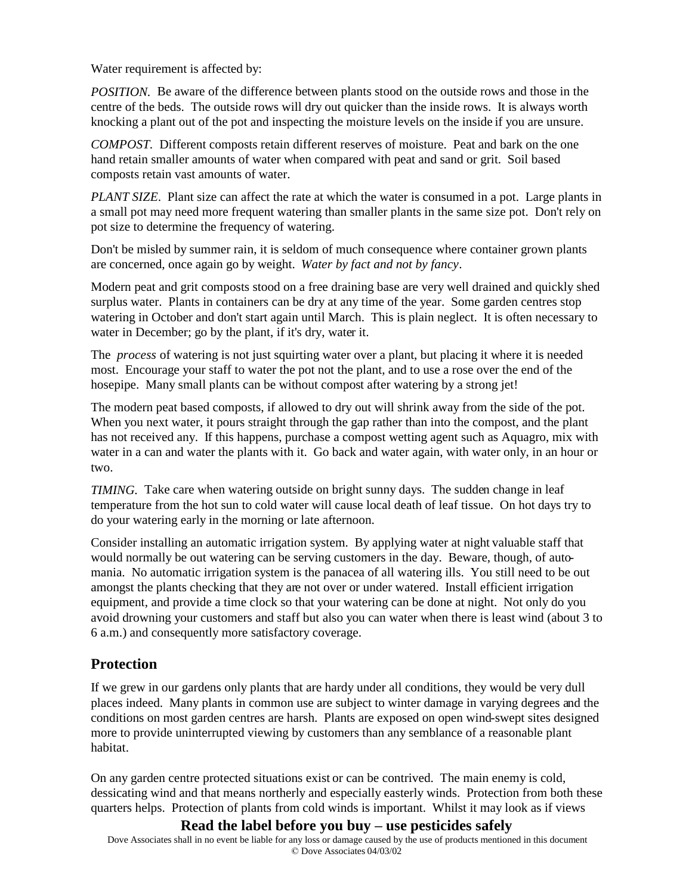Water requirement is affected by:

*POSITION.* Be aware of the difference between plants stood on the outside rows and those in the centre of the beds. The outside rows will dry out quicker than the inside rows. It is always worth knocking a plant out of the pot and inspecting the moisture levels on the inside if you are unsure.

*COMPOST.* Different composts retain different reserves of moisture. Peat and bark on the one hand retain smaller amounts of water when compared with peat and sand or grit. Soil based composts retain vast amounts of water.

*PLANT SIZE*. Plant size can affect the rate at which the water is consumed in a pot. Large plants in a small pot may need more frequent watering than smaller plants in the same size pot. Don't rely on pot size to determine the frequency of watering.

Don't be misled by summer rain, it is seldom of much consequence where container grown plants are concerned, once again go by weight. *Water by fact and not by fancy*.

Modern peat and grit composts stood on a free draining base are very well drained and quickly shed surplus water. Plants in containers can be dry at any time of the year. Some garden centres stop watering in October and don't start again until March. This is plain neglect. It is often necessary to water in December; go by the plant, if it's dry, water it.

The *process* of watering is not just squirting water over a plant, but placing it where it is needed most. Encourage your staff to water the pot not the plant, and to use a rose over the end of the hosepipe. Many small plants can be without compost after watering by a strong jet!

The modern peat based composts, if allowed to dry out will shrink away from the side of the pot. When you next water, it pours straight through the gap rather than into the compost, and the plant has not received any. If this happens, purchase a compost wetting agent such as Aquagro, mix with water in a can and water the plants with it. Go back and water again, with water only, in an hour or two.

*TIMING.* Take care when watering outside on bright sunny days. The sudden change in leaf temperature from the hot sun to cold water will cause local death of leaf tissue. On hot days try to do your watering early in the morning or late afternoon.

Consider installing an automatic irrigation system. By applying water at night valuable staff that would normally be out watering can be serving customers in the day. Beware, though, of automania. No automatic irrigation system is the panacea of all watering ills. You still need to be out amongst the plants checking that they are not over or under watered. Install efficient irrigation equipment, and provide a time clock so that your watering can be done at night. Not only do you avoid drowning your customers and staff but also you can water when there is least wind (about 3 to 6 a.m.) and consequently more satisfactory coverage.

#### **Protection**

If we grew in our gardens only plants that are hardy under all conditions, they would be very dull places indeed. Many plants in common use are subject to winter damage in varying degrees and the conditions on most garden centres are harsh. Plants are exposed on open wind-swept sites designed more to provide uninterrupted viewing by customers than any semblance of a reasonable plant habitat.

On any garden centre protected situations exist or can be contrived. The main enemy is cold, dessicating wind and that means northerly and especially easterly winds. Protection from both these quarters helps. Protection of plants from cold winds is important. Whilst it may look as if views

#### **Read the label before you buy – use pesticides safely**

Dove Associates shall in no event be liable for any loss or damage caused by the use of products mentioned in this document © Dove Associates 04/03/02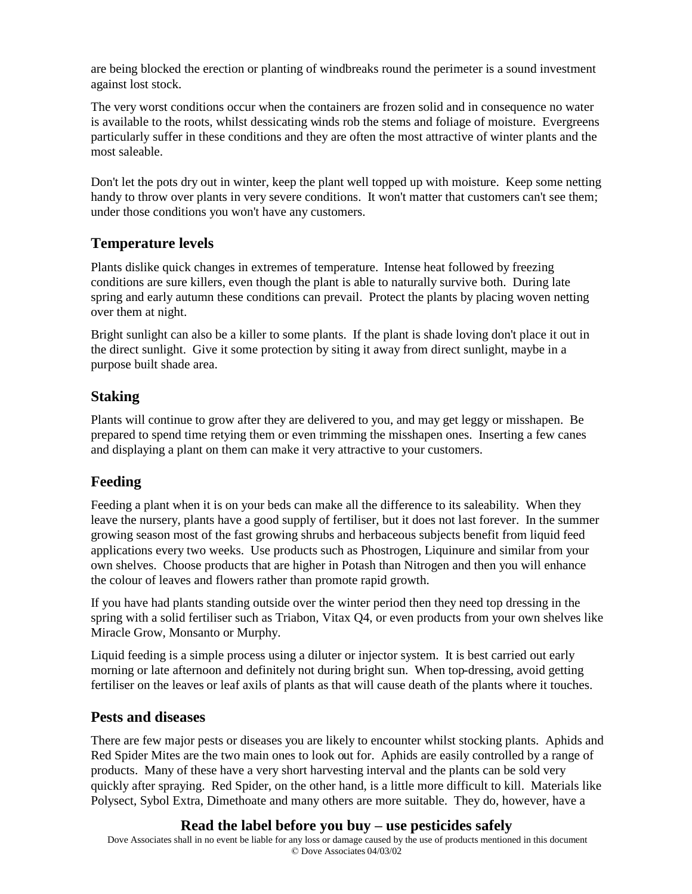are being blocked the erection or planting of windbreaks round the perimeter is a sound investment against lost stock.

The very worst conditions occur when the containers are frozen solid and in consequence no water is available to the roots, whilst dessicating winds rob the stems and foliage of moisture. Evergreens particularly suffer in these conditions and they are often the most attractive of winter plants and the most saleable.

Don't let the pots dry out in winter, keep the plant well topped up with moisture. Keep some netting handy to throw over plants in very severe conditions. It won't matter that customers can't see them; under those conditions you won't have any customers.

#### **Temperature levels**

Plants dislike quick changes in extremes of temperature. Intense heat followed by freezing conditions are sure killers, even though the plant is able to naturally survive both. During late spring and early autumn these conditions can prevail. Protect the plants by placing woven netting over them at night.

Bright sunlight can also be a killer to some plants. If the plant is shade loving don't place it out in the direct sunlight. Give it some protection by siting it away from direct sunlight, maybe in a purpose built shade area.

#### **Staking**

Plants will continue to grow after they are delivered to you, and may get leggy or misshapen. Be prepared to spend time retying them or even trimming the misshapen ones. Inserting a few canes and displaying a plant on them can make it very attractive to your customers.

#### **Feeding**

Feeding a plant when it is on your beds can make all the difference to its saleability. When they leave the nursery, plants have a good supply of fertiliser, but it does not last forever. In the summer growing season most of the fast growing shrubs and herbaceous subjects benefit from liquid feed applications every two weeks. Use products such as Phostrogen, Liquinure and similar from your own shelves. Choose products that are higher in Potash than Nitrogen and then you will enhance the colour of leaves and flowers rather than promote rapid growth.

If you have had plants standing outside over the winter period then they need top dressing in the spring with a solid fertiliser such as Triabon, Vitax Q4, or even products from your own shelves like Miracle Grow, Monsanto or Murphy.

Liquid feeding is a simple process using a diluter or injector system. It is best carried out early morning or late afternoon and definitely not during bright sun. When top-dressing, avoid getting fertiliser on the leaves or leaf axils of plants as that will cause death of the plants where it touches.

#### **Pests and diseases**

There are few major pests or diseases you are likely to encounter whilst stocking plants. Aphids and Red Spider Mites are the two main ones to look out for. Aphids are easily controlled by a range of products. Many of these have a very short harvesting interval and the plants can be sold very quickly after spraying. Red Spider, on the other hand, is a little more difficult to kill. Materials like Polysect, Sybol Extra, Dimethoate and many others are more suitable. They do, however, have a

#### **Read the label before you buy – use pesticides safely**

Dove Associates shall in no event be liable for any loss or damage caused by the use of products mentioned in this document © Dove Associates 04/03/02